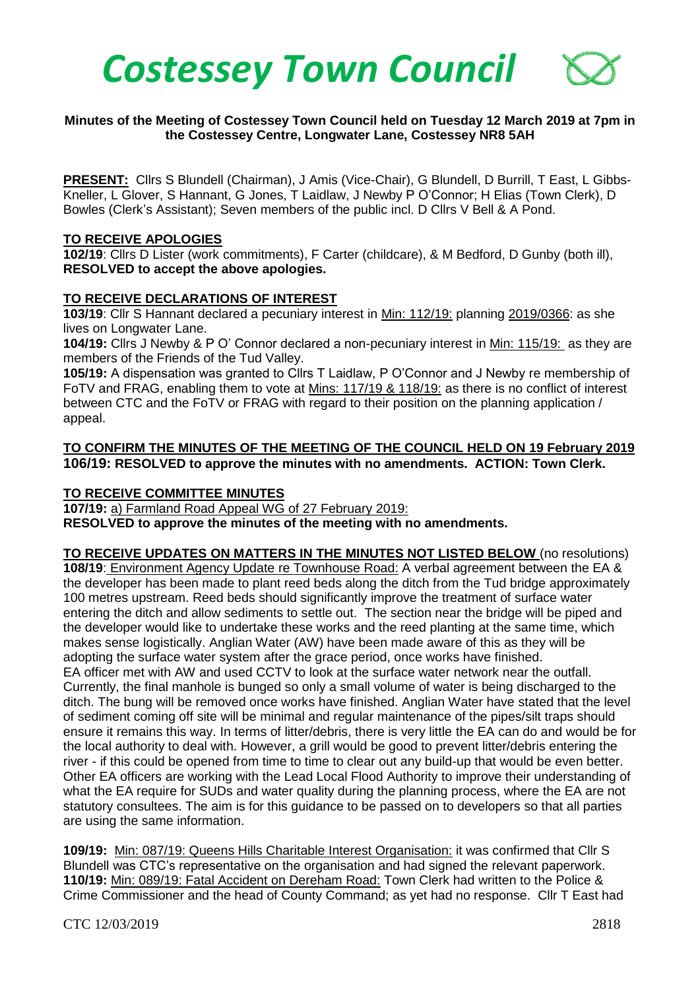

## **Minutes of the Meeting of Costessey Town Council held on Tuesday 12 March 2019 at 7pm in the Costessey Centre, Longwater Lane, Costessey NR8 5AH**

**PRESENT:** Cllrs S Blundell (Chairman), J Amis (Vice-Chair), G Blundell, D Burrill, T East, L Gibbs-Kneller, L Glover, S Hannant, G Jones, T Laidlaw, J Newby P O'Connor; H Elias (Town Clerk), D Bowles (Clerk's Assistant); Seven members of the public incl. D Cllrs V Bell & A Pond.

#### **TO RECEIVE APOLOGIES**

**102/19**: Cllrs D Lister (work commitments), F Carter (childcare), & M Bedford, D Gunby (both ill), **RESOLVED to accept the above apologies.** 

#### **TO RECEIVE DECLARATIONS OF INTEREST**

**103/19**: Cllr S Hannant declared a pecuniary interest in Min: 112/19: planning 2019/0366: as she lives on Longwater Lane.

**104/19:** Cllrs J Newby & P O' Connor declared a non-pecuniary interest in Min: 115/19: as they are members of the Friends of the Tud Valley.

**105/19:** A dispensation was granted to Cllrs T Laidlaw, P O'Connor and J Newby re membership of FoTV and FRAG, enabling them to vote at Mins: 117/19 & 118/19: as there is no conflict of interest between CTC and the FoTV or FRAG with regard to their position on the planning application / appeal.

## **TO CONFIRM THE MINUTES OF THE MEETING OF THE COUNCIL HELD ON 19 February 2019 106/19: RESOLVED to approve the minutes with no amendments. ACTION: Town Clerk.**

#### **TO RECEIVE COMMITTEE MINUTES**

**107/19:** a) Farmland Road Appeal WG of 27 February 2019: **RESOLVED to approve the minutes of the meeting with no amendments.** 

**TO RECEIVE UPDATES ON MATTERS IN THE MINUTES NOT LISTED BELOW** (no resolutions) **108/19**: Environment Agency Update re Townhouse Road: A verbal agreement between the EA & the developer has been made to plant reed beds along the ditch from the Tud bridge approximately 100 metres upstream. Reed beds should significantly improve the treatment of surface water entering the ditch and allow sediments to settle out. The section near the bridge will be piped and the developer would like to undertake these works and the reed planting at the same time, which makes sense logistically. Anglian Water (AW) have been made aware of this as they will be adopting the surface water system after the grace period, once works have finished. EA officer met with AW and used CCTV to look at the surface water network near the outfall. Currently, the final manhole is bunged so only a small volume of water is being discharged to the ditch. The bung will be removed once works have finished. Anglian Water have stated that the level of sediment coming off site will be minimal and regular maintenance of the pipes/silt traps should ensure it remains this way. In terms of litter/debris, there is very little the EA can do and would be for the local authority to deal with. However, a grill would be good to prevent litter/debris entering the river - if this could be opened from time to time to clear out any build-up that would be even better. Other EA officers are working with the Lead Local Flood Authority to improve their understanding of what the EA require for SUDs and water quality during the planning process, where the EA are not statutory consultees. The aim is for this guidance to be passed on to developers so that all parties are using the same information.

**109/19:** Min: 087/19: Queens Hills Charitable Interest Organisation: it was confirmed that Cllr S Blundell was CTC's representative on the organisation and had signed the relevant paperwork. **110/19:** Min: 089/19: Fatal Accident on Dereham Road: Town Clerk had written to the Police & Crime Commissioner and the head of County Command; as yet had no response. Cllr T East had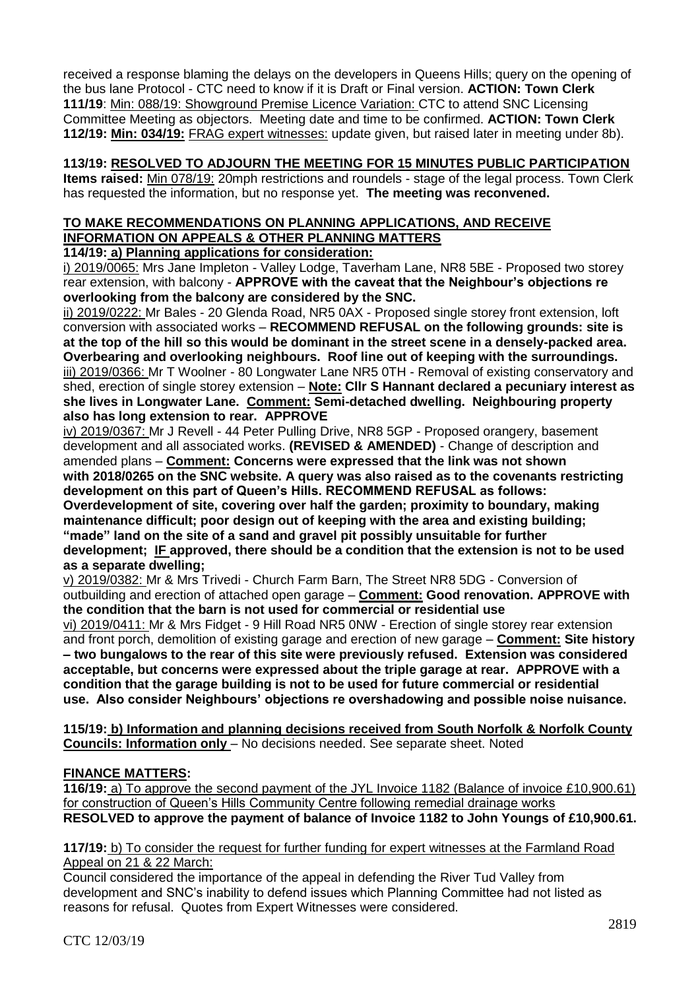received a response blaming the delays on the developers in Queens Hills; query on the opening of the bus lane Protocol - CTC need to know if it is Draft or Final version. **ACTION: Town Clerk 111/19**: Min: 088/19: Showground Premise Licence Variation: CTC to attend SNC Licensing Committee Meeting as objectors. Meeting date and time to be confirmed. **ACTION: Town Clerk 112/19: Min: 034/19:** FRAG expert witnesses: update given, but raised later in meeting under 8b).

# **113/19: RESOLVED TO ADJOURN THE MEETING FOR 15 MINUTES PUBLIC PARTICIPATION**

**Items raised:** Min 078/19: 20mph restrictions and roundels - stage of the legal process. Town Clerk has requested the information, but no response yet. **The meeting was reconvened.** 

# **TO MAKE RECOMMENDATIONS ON PLANNING APPLICATIONS, AND RECEIVE INFORMATION ON APPEALS & OTHER PLANNING MATTERS**

**114/19: a) Planning applications for consideration:**

i) 2019/0065: Mrs Jane Impleton - Valley Lodge, Taverham Lane, NR8 5BE - Proposed two storey rear extension, with balcony - **APPROVE with the caveat that the Neighbour's objections re overlooking from the balcony are considered by the SNC.**

ii) 2019/0222: Mr Bales - 20 Glenda Road, NR5 0AX - Proposed single storey front extension, loft conversion with associated works – **RECOMMEND REFUSAL on the following grounds: site is at the top of the hill so this would be dominant in the street scene in a densely-packed area. Overbearing and overlooking neighbours. Roof line out of keeping with the surroundings.** iii) 2019/0366: Mr T Woolner - 80 Longwater Lane NR5 0TH - Removal of existing conservatory and shed, erection of single storey extension – **Note: Cllr S Hannant declared a pecuniary interest as she lives in Longwater Lane. Comment: Semi-detached dwelling. Neighbouring property also has long extension to rear. APPROVE** 

iv) 2019/0367: Mr J Revell - 44 Peter Pulling Drive, NR8 5GP - Proposed orangery, basement development and all associated works. **(REVISED & AMENDED)** - Change of description and amended plans – **Comment: Concerns were expressed that the link was not shown with 2018/0265 on the SNC website. A query was also raised as to the covenants restricting** 

**development on this part of Queen's Hills. RECOMMEND REFUSAL as follows: Overdevelopment of site, covering over half the garden; proximity to boundary, making maintenance difficult; poor design out of keeping with the area and existing building; "made" land on the site of a sand and gravel pit possibly unsuitable for further development; IF approved, there should be a condition that the extension is not to be used as a separate dwelling;**

v) 2019/0382: Mr & Mrs Trivedi - Church Farm Barn, The Street NR8 5DG - Conversion of outbuilding and erection of attached open garage – **Comment: Good renovation. APPROVE with the condition that the barn is not used for commercial or residential use**

vi) 2019/0411: Mr & Mrs Fidget - 9 Hill Road NR5 0NW - Erection of single storey rear extension and front porch, demolition of existing garage and erection of new garage – **Comment: Site history – two bungalows to the rear of this site were previously refused. Extension was considered acceptable, but concerns were expressed about the triple garage at rear. APPROVE with a condition that the garage building is not to be used for future commercial or residential use. Also consider Neighbours' objections re overshadowing and possible noise nuisance.**

**115/19: b) Information and planning decisions received from South Norfolk & Norfolk County Councils: Information only** – No decisions needed. See separate sheet. Noted

# **FINANCE MATTERS:**

**116/19:** a) To approve the second payment of the JYL Invoice 1182 (Balance of invoice £10,900.61) for construction of Queen's Hills Community Centre following remedial drainage works **RESOLVED to approve the payment of balance of Invoice 1182 to John Youngs of £10,900.61.**

**117/19:** b) To consider the request for further funding for expert witnesses at the Farmland Road Appeal on 21 & 22 March:

Council considered the importance of the appeal in defending the River Tud Valley from development and SNC's inability to defend issues which Planning Committee had not listed as reasons for refusal. Quotes from Expert Witnesses were considered.